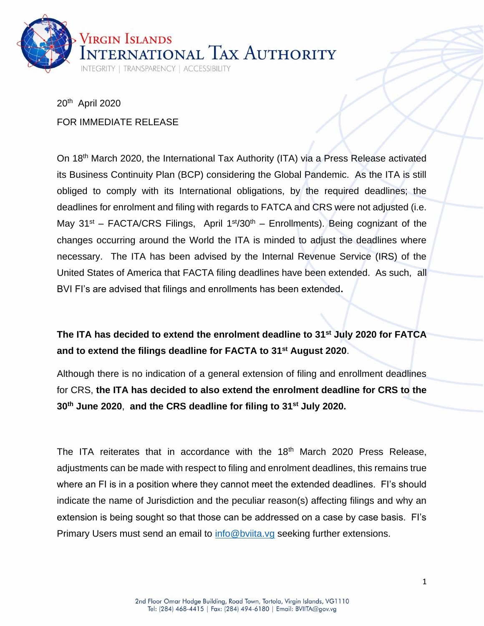

20th April 2020 FOR IMMEDIATE RELEASE

On 18<sup>th</sup> March 2020, the International Tax Authority (ITA) via a Press Release activated its Business Continuity Plan (BCP) considering the Global Pandemic. As the ITA is still obliged to comply with its International obligations, by the required deadlines; the deadlines for enrolment and filing with regards to FATCA and CRS were not adjusted (i.e. May  $31^{st}$  – FACTA/CRS Filings, April  $1^{st}/30^{th}$  – Enrollments). Being cognizant of the changes occurring around the World the ITA is minded to adjust the deadlines where necessary. The ITA has been advised by the Internal Revenue Service (IRS) of the United States of America that FACTA filing deadlines have been extended. As such,all BVI FI's are advised that filings and enrollments has been extended**.**

## **The ITA has decided to extend the enrolment deadline to 31st July 2020 for FATCA and to extend the filings deadline for FACTA to 31st August 2020**.

Although there is no indication of a general extension of filing and enrollment deadlines for CRS, **the ITA has decided to also extend the enrolment deadline for CRS to the 30th June 2020**, **and the CRS deadline for filing to 31st July 2020.**

The ITA reiterates that in accordance with the 18<sup>th</sup> March 2020 Press Release, adjustments can be made with respect to filing and enrolment deadlines, this remains true where an FI is in a position where they cannot meet the extended deadlines. FI's should indicate the name of Jurisdiction and the peculiar reason(s) affecting filings and why an extension is being sought so that those can be addressed on a case by case basis. FI's Primary Users must send an email to [info@bviita.vg](mailto:info@bviita.vg) seeking further extensions.